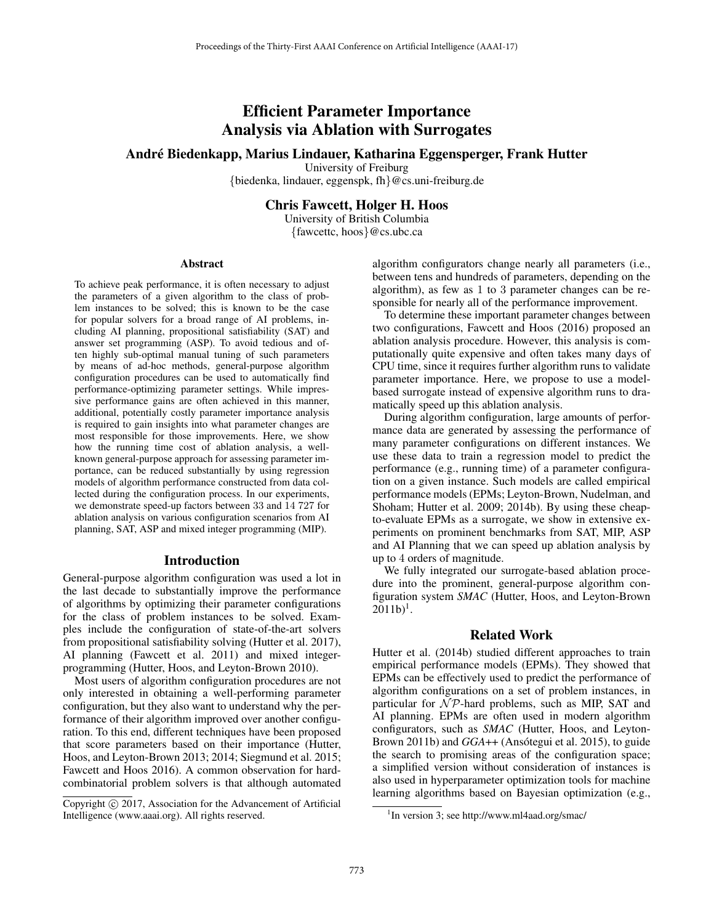# Efficient Parameter Importance Analysis via Ablation with Surrogates

# André Biedenkapp, Marius Lindauer, Katharina Eggensperger, Frank Hutter

University of Freiburg

{biedenka, lindauer, eggenspk, fh}@cs.uni-freiburg.de

# Chris Fawcett, Holger H. Hoos

University of British Columbia {fawcettc, hoos}@cs.ubc.ca

#### Abstract

To achieve peak performance, it is often necessary to adjust the parameters of a given algorithm to the class of problem instances to be solved; this is known to be the case for popular solvers for a broad range of AI problems, including AI planning, propositional satisfiability (SAT) and answer set programming (ASP). To avoid tedious and often highly sub-optimal manual tuning of such parameters by means of ad-hoc methods, general-purpose algorithm configuration procedures can be used to automatically find performance-optimizing parameter settings. While impressive performance gains are often achieved in this manner, additional, potentially costly parameter importance analysis is required to gain insights into what parameter changes are most responsible for those improvements. Here, we show how the running time cost of ablation analysis, a wellknown general-purpose approach for assessing parameter importance, can be reduced substantially by using regression models of algorithm performance constructed from data collected during the configuration process. In our experiments, we demonstrate speed-up factors between 33 and 14 727 for ablation analysis on various configuration scenarios from AI planning, SAT, ASP and mixed integer programming (MIP).

# Introduction

General-purpose algorithm configuration was used a lot in the last decade to substantially improve the performance of algorithms by optimizing their parameter configurations for the class of problem instances to be solved. Examples include the configuration of state-of-the-art solvers from propositional satisfiability solving (Hutter et al. 2017), AI planning (Fawcett et al. 2011) and mixed integerprogramming (Hutter, Hoos, and Leyton-Brown 2010).

Most users of algorithm configuration procedures are not only interested in obtaining a well-performing parameter configuration, but they also want to understand why the performance of their algorithm improved over another configuration. To this end, different techniques have been proposed that score parameters based on their importance (Hutter, Hoos, and Leyton-Brown 2013; 2014; Siegmund et al. 2015; Fawcett and Hoos 2016). A common observation for hardcombinatorial problem solvers is that although automated

algorithm configurators change nearly all parameters (i.e., between tens and hundreds of parameters, depending on the algorithm), as few as 1 to 3 parameter changes can be responsible for nearly all of the performance improvement.

To determine these important parameter changes between two configurations, Fawcett and Hoos (2016) proposed an ablation analysis procedure. However, this analysis is computationally quite expensive and often takes many days of CPU time, since it requires further algorithm runs to validate parameter importance. Here, we propose to use a modelbased surrogate instead of expensive algorithm runs to dramatically speed up this ablation analysis.

During algorithm configuration, large amounts of performance data are generated by assessing the performance of many parameter configurations on different instances. We use these data to train a regression model to predict the performance (e.g., running time) of a parameter configuration on a given instance. Such models are called empirical performance models (EPMs; Leyton-Brown, Nudelman, and Shoham; Hutter et al. 2009; 2014b). By using these cheapto-evaluate EPMs as a surrogate, we show in extensive experiments on prominent benchmarks from SAT, MIP, ASP and AI Planning that we can speed up ablation analysis by up to 4 orders of magnitude.

We fully integrated our surrogate-based ablation procedure into the prominent, general-purpose algorithm configuration system *SMAC* (Hutter, Hoos, and Leyton-Brown  $2011b$ <sup>1</sup>.

# Related Work

Hutter et al. (2014b) studied different approaches to train empirical performance models (EPMs). They showed that EPMs can be effectively used to predict the performance of algorithm configurations on a set of problem instances, in particular for  $N \mathcal{P}$ -hard problems, such as MIP, SAT and AI planning. EPMs are often used in modern algorithm configurators, such as *SMAC* (Hutter, Hoos, and Leyton-Brown 2011b) and *GGA*++ (Ansótegui et al. 2015), to guide the search to promising areas of the configuration space; a simplified version without consideration of instances is also used in hyperparameter optimization tools for machine learning algorithms based on Bayesian optimization (e.g.,

Copyright  $\odot$  2017, Association for the Advancement of Artificial Intelligence (www.aaai.org). All rights reserved.

<sup>1</sup> In version 3; see http://www.ml4aad.org/smac/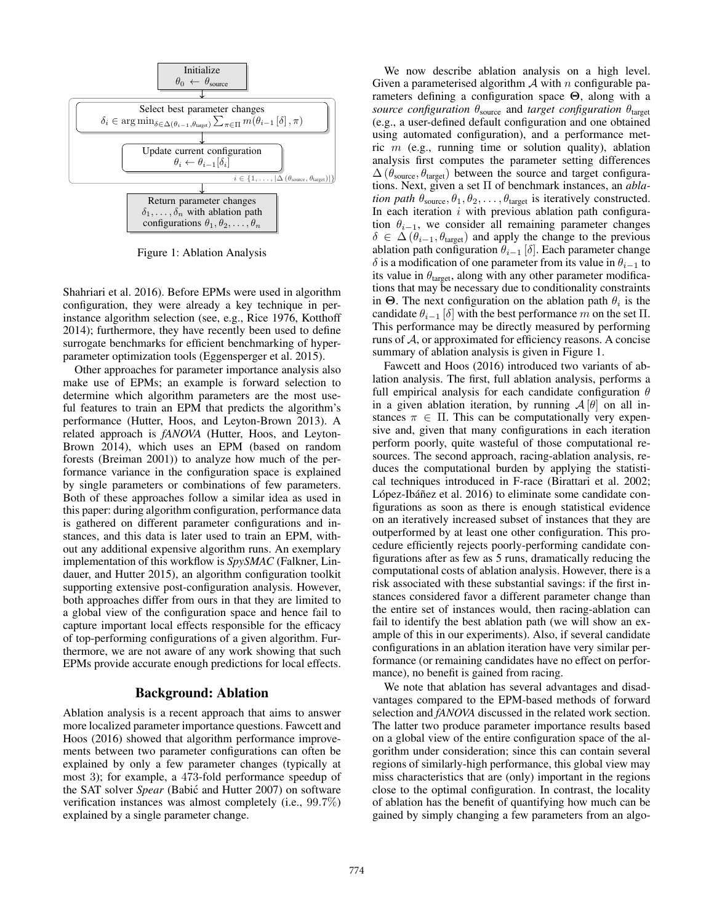

Figure 1: Ablation Analysis

Shahriari et al. 2016). Before EPMs were used in algorithm configuration, they were already a key technique in perinstance algorithm selection (see, e.g., Rice 1976, Kotthoff 2014); furthermore, they have recently been used to define surrogate benchmarks for efficient benchmarking of hyperparameter optimization tools (Eggensperger et al. 2015).

Other approaches for parameter importance analysis also make use of EPMs; an example is forward selection to determine which algorithm parameters are the most useful features to train an EPM that predicts the algorithm's performance (Hutter, Hoos, and Leyton-Brown 2013). A related approach is *fANOVA* (Hutter, Hoos, and Leyton-Brown 2014), which uses an EPM (based on random forests (Breiman 2001)) to analyze how much of the performance variance in the configuration space is explained by single parameters or combinations of few parameters. Both of these approaches follow a similar idea as used in this paper: during algorithm configuration, performance data is gathered on different parameter configurations and instances, and this data is later used to train an EPM, without any additional expensive algorithm runs. An exemplary implementation of this workflow is *SpySMAC* (Falkner, Lindauer, and Hutter 2015), an algorithm configuration toolkit supporting extensive post-configuration analysis. However, both approaches differ from ours in that they are limited to a global view of the configuration space and hence fail to capture important local effects responsible for the efficacy of top-performing configurations of a given algorithm. Furthermore, we are not aware of any work showing that such EPMs provide accurate enough predictions for local effects.

# Background: Ablation

Ablation analysis is a recent approach that aims to answer more localized parameter importance questions. Fawcett and Hoos (2016) showed that algorithm performance improvements between two parameter configurations can often be explained by only a few parameter changes (typically at most 3); for example, a 473-fold performance speedup of the SAT solver *Spear* (Babić and Hutter 2007) on software verification instances was almost completely (i.e., 99.7%) explained by a single parameter change.

We now describe ablation analysis on a high level. Given a parameterised algorithm  $A$  with  $n$  configurable parameters defining a configuration space **Θ**, along with a *source configuration*  $\theta_{source}$  and *target configuration*  $\theta_{target}$ (e.g., a user-defined default configuration and one obtained using automated configuration), and a performance metric  $m$  (e.g., running time or solution quality), ablation analysis first computes the parameter setting differences  $\Delta(\theta_{\text{source}}, \theta_{\text{target}})$  between the source and target configurations. Next, given a set Π of benchmark instances, an *ablation path*  $\theta_{source}, \theta_1, \theta_2, \dots, \theta_{target}$  is iteratively constructed. In each iteration  $i$  with previous ablation path configuration  $\theta_{i-1}$ , we consider all remaining parameter changes  $\delta \in \Delta(\theta_{i-1}, \theta_{\text{target}})$  and apply the change to the previous ablation path configuration  $\theta_{i-1}$  [ $\delta$ ]. Each parameter change δ is a modification of one parameter from its value in  $\theta_{i-1}$  to its value in  $\theta_{\text{target}}$ , along with any other parameter modifications that may be necessary due to conditionality constraints in  $\Theta$ . The next configuration on the ablation path  $\theta_i$  is the candidate  $\theta_{i-1}$  [δ] with the best performance m on the set  $\Pi$ . This performance may be directly measured by performing runs of A, or approximated for efficiency reasons. A concise summary of ablation analysis is given in Figure 1.

Fawcett and Hoos (2016) introduced two variants of ablation analysis. The first, full ablation analysis, performs a full empirical analysis for each candidate configuration  $\theta$ in a given ablation iteration, by running  $A[\theta]$  on all instances  $\pi \in \Pi$ . This can be computationally very expensive and, given that many configurations in each iteration perform poorly, quite wasteful of those computational resources. The second approach, racing-ablation analysis, reduces the computational burden by applying the statistical techniques introduced in F-race (Birattari et al. 2002; López-Ibáñez et al. 2016) to eliminate some candidate configurations as soon as there is enough statistical evidence on an iteratively increased subset of instances that they are outperformed by at least one other configuration. This procedure efficiently rejects poorly-performing candidate configurations after as few as 5 runs, dramatically reducing the computational costs of ablation analysis. However, there is a risk associated with these substantial savings: if the first instances considered favor a different parameter change than the entire set of instances would, then racing-ablation can fail to identify the best ablation path (we will show an example of this in our experiments). Also, if several candidate configurations in an ablation iteration have very similar performance (or remaining candidates have no effect on performance), no benefit is gained from racing.

We note that ablation has several advantages and disadvantages compared to the EPM-based methods of forward selection and *fANOVA* discussed in the related work section. The latter two produce parameter importance results based on a global view of the entire configuration space of the algorithm under consideration; since this can contain several regions of similarly-high performance, this global view may miss characteristics that are (only) important in the regions close to the optimal configuration. In contrast, the locality of ablation has the benefit of quantifying how much can be gained by simply changing a few parameters from an algo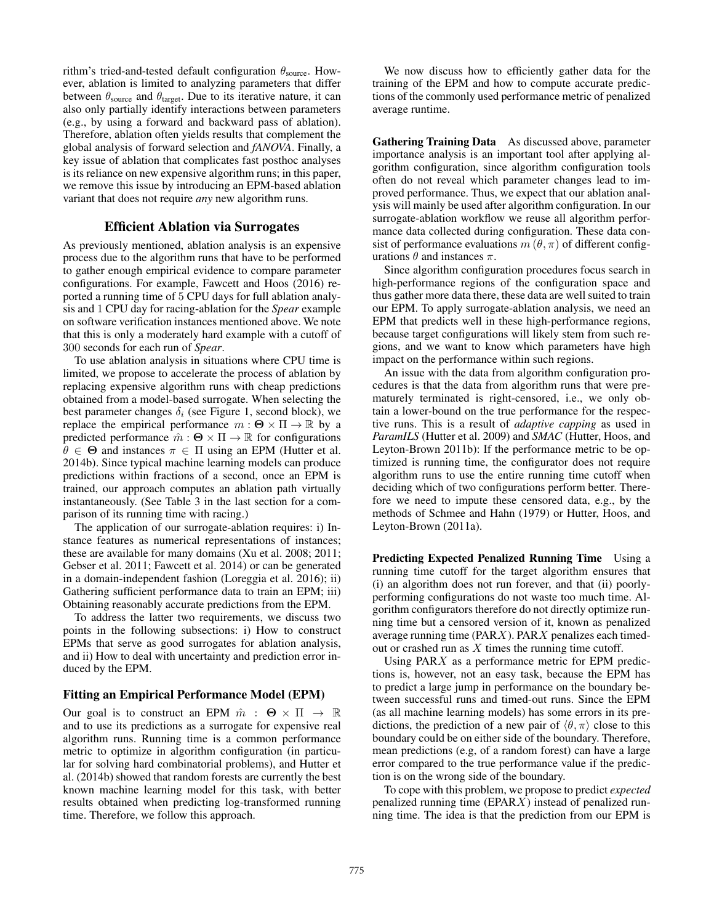rithm's tried-and-tested default configuration  $\theta_{\text{source}}$ . However, ablation is limited to analyzing parameters that differ between  $\theta_{source}$  and  $\theta_{target}$ . Due to its iterative nature, it can also only partially identify interactions between parameters (e.g., by using a forward and backward pass of ablation). Therefore, ablation often yields results that complement the global analysis of forward selection and *fANOVA*. Finally, a key issue of ablation that complicates fast posthoc analyses is its reliance on new expensive algorithm runs; in this paper, we remove this issue by introducing an EPM-based ablation variant that does not require *any* new algorithm runs.

#### Efficient Ablation via Surrogates

As previously mentioned, ablation analysis is an expensive process due to the algorithm runs that have to be performed to gather enough empirical evidence to compare parameter configurations. For example, Fawcett and Hoos (2016) reported a running time of 5 CPU days for full ablation analysis and 1 CPU day for racing-ablation for the *Spear* example on software verification instances mentioned above. We note that this is only a moderately hard example with a cutoff of 300 seconds for each run of *Spear*.

To use ablation analysis in situations where CPU time is limited, we propose to accelerate the process of ablation by replacing expensive algorithm runs with cheap predictions obtained from a model-based surrogate. When selecting the best parameter changes  $\delta_i$  (see Figure 1, second block), we replace the empirical performance  $m : \Theta \times \Pi \to \mathbb{R}$  by a predicted performance  $\hat{m} : \mathbf{\Theta} \times \Pi \to \mathbb{R}$  for configurations  $\theta \in \Theta$  and instances  $\pi \in \Pi$  using an EPM (Hutter et al. 2014b). Since typical machine learning models can produce predictions within fractions of a second, once an EPM is trained, our approach computes an ablation path virtually instantaneously. (See Table 3 in the last section for a comparison of its running time with racing.)

The application of our surrogate-ablation requires: i) Instance features as numerical representations of instances; these are available for many domains (Xu et al. 2008; 2011; Gebser et al. 2011; Fawcett et al. 2014) or can be generated in a domain-independent fashion (Loreggia et al. 2016); ii) Gathering sufficient performance data to train an EPM; iii) Obtaining reasonably accurate predictions from the EPM.

To address the latter two requirements, we discuss two points in the following subsections: i) How to construct EPMs that serve as good surrogates for ablation analysis, and ii) How to deal with uncertainty and prediction error induced by the EPM.

#### Fitting an Empirical Performance Model (EPM)

Our goal is to construct an EPM  $\hat{m}$  :  $\Theta \times \Pi \rightarrow \mathbb{R}$ and to use its predictions as a surrogate for expensive real algorithm runs. Running time is a common performance metric to optimize in algorithm configuration (in particular for solving hard combinatorial problems), and Hutter et al. (2014b) showed that random forests are currently the best known machine learning model for this task, with better results obtained when predicting log-transformed running time. Therefore, we follow this approach.

We now discuss how to efficiently gather data for the training of the EPM and how to compute accurate predictions of the commonly used performance metric of penalized average runtime.

Gathering Training Data As discussed above, parameter importance analysis is an important tool after applying algorithm configuration, since algorithm configuration tools often do not reveal which parameter changes lead to improved performance. Thus, we expect that our ablation analysis will mainly be used after algorithm configuration. In our surrogate-ablation workflow we reuse all algorithm performance data collected during configuration. These data consist of performance evaluations  $m(\theta, \pi)$  of different configurations  $θ$  and instances π.

Since algorithm configuration procedures focus search in high-performance regions of the configuration space and thus gather more data there, these data are well suited to train our EPM. To apply surrogate-ablation analysis, we need an EPM that predicts well in these high-performance regions, because target configurations will likely stem from such regions, and we want to know which parameters have high impact on the performance within such regions.

An issue with the data from algorithm configuration procedures is that the data from algorithm runs that were prematurely terminated is right-censored, i.e., we only obtain a lower-bound on the true performance for the respective runs. This is a result of *adaptive capping* as used in *ParamILS* (Hutter et al. 2009) and *SMAC* (Hutter, Hoos, and Leyton-Brown 2011b): If the performance metric to be optimized is running time, the configurator does not require algorithm runs to use the entire running time cutoff when deciding which of two configurations perform better. Therefore we need to impute these censored data, e.g., by the methods of Schmee and Hahn (1979) or Hutter, Hoos, and Leyton-Brown (2011a).

Predicting Expected Penalized Running Time Using a running time cutoff for the target algorithm ensures that (i) an algorithm does not run forever, and that (ii) poorlyperforming configurations do not waste too much time. Algorithm configurators therefore do not directly optimize running time but a censored version of it, known as penalized average running time (PARX). PARX penalizes each timedout or crashed run as  $X$  times the running time cutoff.

Using  $PARX$  as a performance metric for EPM predictions is, however, not an easy task, because the EPM has to predict a large jump in performance on the boundary between successful runs and timed-out runs. Since the EPM (as all machine learning models) has some errors in its predictions, the prediction of a new pair of  $\langle \theta, \pi \rangle$  close to this boundary could be on either side of the boundary. Therefore, mean predictions (e.g, of a random forest) can have a large error compared to the true performance value if the prediction is on the wrong side of the boundary.

To cope with this problem, we propose to predict *expected* penalized running time (EPARX) instead of penalized running time. The idea is that the prediction from our EPM is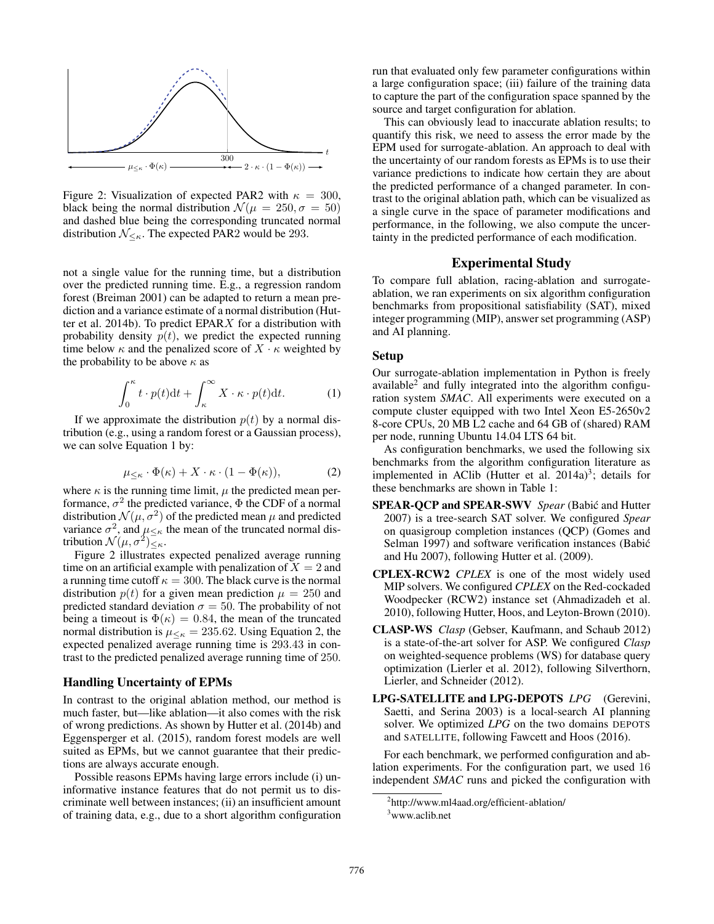

Figure 2: Visualization of expected PAR2 with  $\kappa = 300$ , black being the normal distribution  $\mathcal{N}(\mu = 250, \sigma = 50)$ and dashed blue being the corresponding truncated normal distribution  $\mathcal{N}_{\leq \kappa}$ . The expected PAR2 would be 293.

not a single value for the running time, but a distribution over the predicted running time. E.g., a regression random forest (Breiman 2001) can be adapted to return a mean prediction and a variance estimate of a normal distribution (Hutter et al. 2014b). To predict EPAR $X$  for a distribution with probability density  $p(t)$ , we predict the expected running time below  $\kappa$  and the penalized score of  $X \cdot \kappa$  weighted by the probability to be above  $\kappa$  as

$$
\int_0^{\kappa} t \cdot p(t) dt + \int_{\kappa}^{\infty} X \cdot \kappa \cdot p(t) dt.
$$
 (1)

If we approximate the distribution  $p(t)$  by a normal distribution (e.g., using a random forest or a Gaussian process), we can solve Equation 1 by:

$$
\mu_{\leq \kappa} \cdot \Phi(\kappa) + X \cdot \kappa \cdot (1 - \Phi(\kappa)), \tag{2}
$$

where  $\kappa$  is the running time limit,  $\mu$  the predicted mean performance,  $\sigma^2$  the predicted variance,  $\Phi$  the CDF of a normal distribution  $\mathcal{N}(\mu, \sigma^2)$  of the predicted mean  $\mu$  and predicted variance  $\sigma^2$ , and  $\mu_{\leq \kappa}$  the mean of the truncated normal distribution  $\mathcal{N}(\mu, \sigma^2)_{\leq \kappa}$ .

Figure 2 illustrates expected penalized average running time on an artificial example with penalization of  $X = 2$  and a running time cutoff  $\kappa = 300$ . The black curve is the normal distribution  $p(t)$  for a given mean prediction  $\mu = 250$  and predicted standard deviation  $\sigma = 50$ . The probability of not being a timeout is  $\Phi(\kappa)=0.84$ , the mean of the truncated normal distribution is  $\mu_{\leq \kappa} = 235.62$ . Using Equation 2, the expected penalized average running time is 293.43 in contrast to the predicted penalized average running time of 250.

#### Handling Uncertainty of EPMs

In contrast to the original ablation method, our method is much faster, but—like ablation—it also comes with the risk of wrong predictions. As shown by Hutter et al. (2014b) and Eggensperger et al. (2015), random forest models are well suited as EPMs, but we cannot guarantee that their predictions are always accurate enough.

Possible reasons EPMs having large errors include (i) uninformative instance features that do not permit us to discriminate well between instances; (ii) an insufficient amount of training data, e.g., due to a short algorithm configuration

run that evaluated only few parameter configurations within a large configuration space; (iii) failure of the training data to capture the part of the configuration space spanned by the source and target configuration for ablation.

This can obviously lead to inaccurate ablation results; to quantify this risk, we need to assess the error made by the EPM used for surrogate-ablation. An approach to deal with the uncertainty of our random forests as EPMs is to use their variance predictions to indicate how certain they are about the predicted performance of a changed parameter. In contrast to the original ablation path, which can be visualized as a single curve in the space of parameter modifications and performance, in the following, we also compute the uncertainty in the predicted performance of each modification.

### Experimental Study

To compare full ablation, racing-ablation and surrogateablation, we ran experiments on six algorithm configuration benchmarks from propositional satisfiability (SAT), mixed integer programming (MIP), answer set programming (ASP) and AI planning.

#### Setup

Our surrogate-ablation implementation in Python is freely available $^2$  and fully integrated into the algorithm configuration system *SMAC*. All experiments were executed on a compute cluster equipped with two Intel Xeon E5-2650v2 8-core CPUs, 20 MB L2 cache and 64 GB of (shared) RAM per node, running Ubuntu 14.04 LTS 64 bit.

As configuration benchmarks, we used the following six benchmarks from the algorithm configuration literature as implemented in AClib (Hutter et al.  $2014a$ )<sup>3</sup>; details for these benchmarks are shown in Table 1:

- SPEAR-QCP and SPEAR-SWV *Spear* (Babic and Hutter ´ 2007) is a tree-search SAT solver. We configured *Spear* on quasigroup completion instances (QCP) (Gomes and Selman 1997) and software verification instances (Babic´ and Hu 2007), following Hutter et al. (2009).
- CPLEX-RCW2 *CPLEX* is one of the most widely used MIP solvers. We configured *CPLEX* on the Red-cockaded Woodpecker (RCW2) instance set (Ahmadizadeh et al. 2010), following Hutter, Hoos, and Leyton-Brown (2010).
- CLASP-WS *Clasp* (Gebser, Kaufmann, and Schaub 2012) is a state-of-the-art solver for ASP. We configured *Clasp* on weighted-sequence problems (WS) for database query optimization (Lierler et al. 2012), following Silverthorn, Lierler, and Schneider (2012).
- LPG-SATELLITE and LPG-DEPOTS *LPG* (Gerevini, Saetti, and Serina 2003) is a local-search AI planning solver. We optimized *LPG* on the two domains DEPOTS and SATELLITE, following Fawcett and Hoos (2016).

For each benchmark, we performed configuration and ablation experiments. For the configuration part, we used 16 independent *SMAC* runs and picked the configuration with

<sup>&</sup>lt;sup>2</sup>http://www.ml4aad.org/efficient-ablation/

<sup>3</sup> www.aclib.net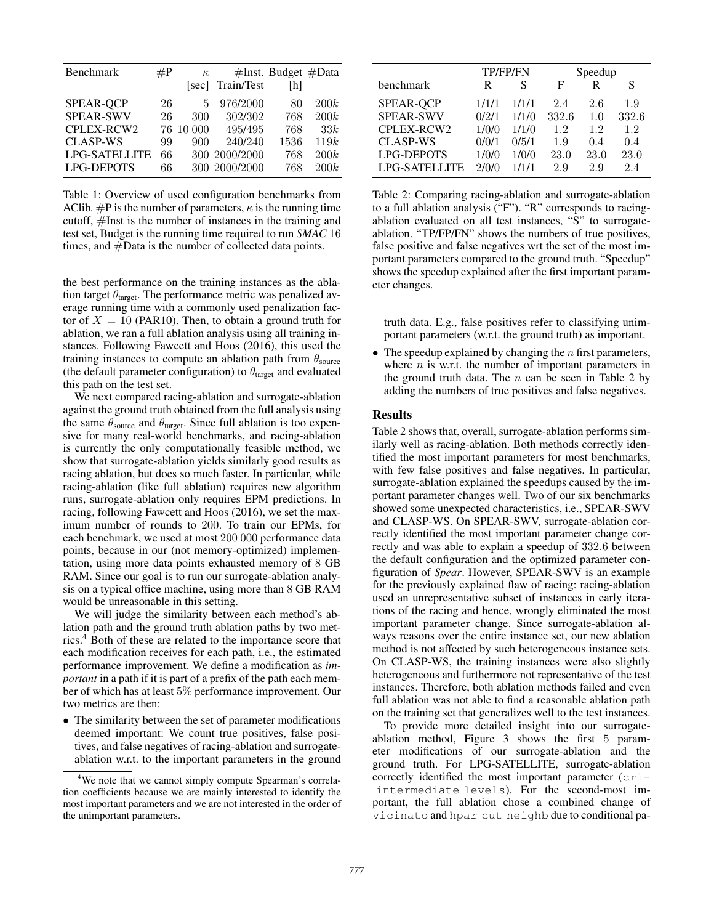| Benchmark            | $\#P$ | $\kappa$  | [sec] Train/Test | $#Inst.$ Budget $#Data$<br>[h] |      |
|----------------------|-------|-----------|------------------|--------------------------------|------|
|                      |       |           |                  |                                |      |
| SPEAR-QCP            | 26    | 5         | 976/2000         | 80                             | 200k |
| <b>SPEAR-SWV</b>     | 26    | 300       | 302/302          | 768                            | 200k |
| CPLEX-RCW2           |       | 76 10 000 | 495/495          | 768                            | 33k  |
| <b>CLASP-WS</b>      | 99    | 900       | 240/240          | 1536                           | 119k |
| <b>LPG-SATELLITE</b> | 66    |           | 300 2000/2000    | 768                            | 200k |
| <b>LPG-DEPOTS</b>    | 66    |           | 300 2000/2000    | 768                            | 200k |

Table 1: Overview of used configuration benchmarks from AClib.  $\#P$  is the number of parameters,  $\kappa$  is the running time cutoff, #Inst is the number of instances in the training and test set, Budget is the running time required to run *SMAC* 16 times, and #Data is the number of collected data points.

the best performance on the training instances as the ablation target  $\theta_{\text{target}}$ . The performance metric was penalized average running time with a commonly used penalization factor of  $X = 10$  (PAR10). Then, to obtain a ground truth for ablation, we ran a full ablation analysis using all training instances. Following Fawcett and Hoos (2016), this used the training instances to compute an ablation path from  $\theta_{\text{source}}$ (the default parameter configuration) to  $\theta_{\text{target}}$  and evaluated this path on the test set.

We next compared racing-ablation and surrogate-ablation against the ground truth obtained from the full analysis using the same  $\theta_{source}$  and  $\theta_{target}$ . Since full ablation is too expensive for many real-world benchmarks, and racing-ablation is currently the only computationally feasible method, we show that surrogate-ablation yields similarly good results as racing ablation, but does so much faster. In particular, while racing-ablation (like full ablation) requires new algorithm runs, surrogate-ablation only requires EPM predictions. In racing, following Fawcett and Hoos (2016), we set the maximum number of rounds to 200. To train our EPMs, for each benchmark, we used at most 200 000 performance data points, because in our (not memory-optimized) implementation, using more data points exhausted memory of 8 GB RAM. Since our goal is to run our surrogate-ablation analysis on a typical office machine, using more than 8 GB RAM would be unreasonable in this setting.

We will judge the similarity between each method's ablation path and the ground truth ablation paths by two metrics.4 Both of these are related to the importance score that each modification receives for each path, i.e., the estimated performance improvement. We define a modification as *important* in a path if it is part of a prefix of the path each member of which has at least 5% performance improvement. Our two metrics are then:

• The similarity between the set of parameter modifications deemed important: We count true positives, false positives, and false negatives of racing-ablation and surrogateablation w.r.t. to the important parameters in the ground

|                      | <b>TP/FP/FN</b> |       | Speedup |      |       |  |
|----------------------|-----------------|-------|---------|------|-------|--|
| benchmark            | R               | S     | F       | R    | S     |  |
| SPEAR-QCP            | 1/1/1           | 1/1/1 | 2.4     | 2.6  | 1.9   |  |
| <b>SPEAR-SWV</b>     | 0/2/1           | 1/1/0 | 332.6   | 1.0  | 332.6 |  |
| CPLEX-RCW2           | 1/0/0           | 1/1/0 | 1.2     | 1.2  | 1.2   |  |
| <b>CLASP-WS</b>      | 0/0/1           | 0/5/1 | 1.9     | 0.4  | 0.4   |  |
| <b>LPG-DEPOTS</b>    | 1/0/0           | 1/0/0 | 23.0    | 23.0 | 23.0  |  |
| <b>LPG-SATELLITE</b> | 2/0/0           | 1/1/1 | 2.9     | 2.9  | 2.4   |  |

Table 2: Comparing racing-ablation and surrogate-ablation to a full ablation analysis ("F"). "R" corresponds to racingablation evaluated on all test instances, "S" to surrogateablation. "TP/FP/FN" shows the numbers of true positives, false positive and false negatives wrt the set of the most important parameters compared to the ground truth. "Speedup" shows the speedup explained after the first important parameter changes.

truth data. E.g., false positives refer to classifying unimportant parameters (w.r.t. the ground truth) as important.

• The speedup explained by changing the  $n$  first parameters, where  $n$  is w.r.t. the number of important parameters in the ground truth data. The  $n$  can be seen in Table 2 by adding the numbers of true positives and false negatives.

### Results

Table 2 shows that, overall, surrogate-ablation performs similarly well as racing-ablation. Both methods correctly identified the most important parameters for most benchmarks, with few false positives and false negatives. In particular, surrogate-ablation explained the speedups caused by the important parameter changes well. Two of our six benchmarks showed some unexpected characteristics, i.e., SPEAR-SWV and CLASP-WS. On SPEAR-SWV, surrogate-ablation correctly identified the most important parameter change correctly and was able to explain a speedup of 332.6 between the default configuration and the optimized parameter configuration of *Spear*. However, SPEAR-SWV is an example for the previously explained flaw of racing: racing-ablation used an unrepresentative subset of instances in early iterations of the racing and hence, wrongly eliminated the most important parameter change. Since surrogate-ablation always reasons over the entire instance set, our new ablation method is not affected by such heterogeneous instance sets. On CLASP-WS, the training instances were also slightly heterogeneous and furthermore not representative of the test instances. Therefore, both ablation methods failed and even full ablation was not able to find a reasonable ablation path on the training set that generalizes well to the test instances.

To provide more detailed insight into our surrogateablation method, Figure 3 shows the first 5 parameter modifications of our surrogate-ablation and the ground truth. For LPG-SATELLITE, surrogate-ablation correctly identified the most important parameter (criintermediate levels). For the second-most important, the full ablation chose a combined change of vicinato and hpar cut neighb due to conditional pa-

<sup>&</sup>lt;sup>4</sup>We note that we cannot simply compute Spearman's correlation coefficients because we are mainly interested to identify the most important parameters and we are not interested in the order of the unimportant parameters.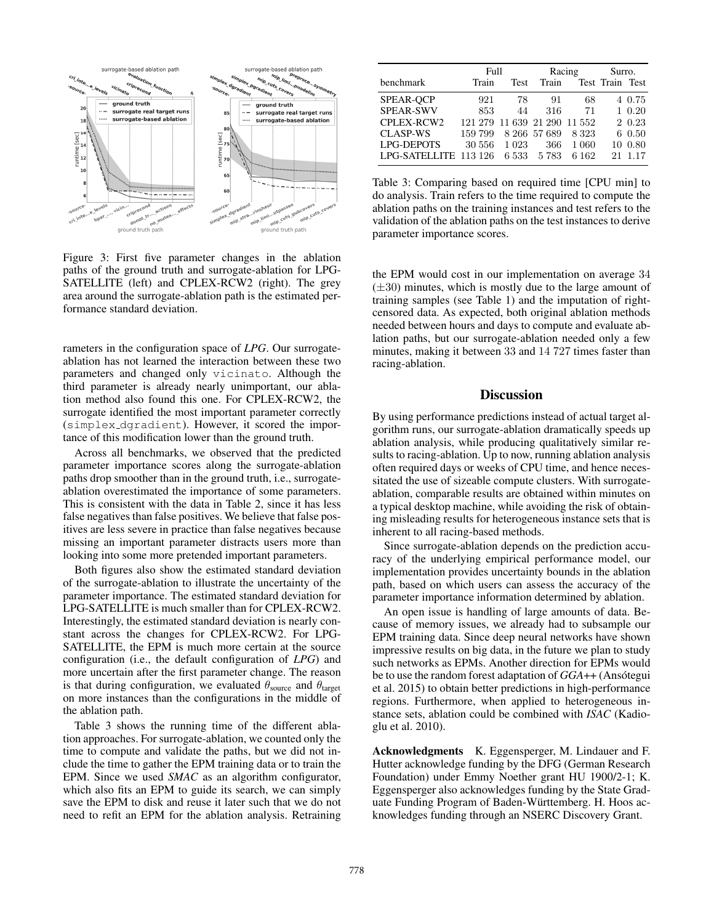

Figure 3: First five parameter changes in the ablation paths of the ground truth and surrogate-ablation for LPG-SATELLITE (left) and CPLEX-RCW2 (right). The grey area around the surrogate-ablation path is the estimated performance standard deviation.

rameters in the configuration space of *LPG*. Our surrogateablation has not learned the interaction between these two parameters and changed only vicinato. Although the third parameter is already nearly unimportant, our ablation method also found this one. For CPLEX-RCW2, the surrogate identified the most important parameter correctly (simplex dgradient). However, it scored the importance of this modification lower than the ground truth.

Across all benchmarks, we observed that the predicted parameter importance scores along the surrogate-ablation paths drop smoother than in the ground truth, i.e., surrogateablation overestimated the importance of some parameters. This is consistent with the data in Table 2, since it has less false negatives than false positives. We believe that false positives are less severe in practice than false negatives because missing an important parameter distracts users more than looking into some more pretended important parameters.

Both figures also show the estimated standard deviation of the surrogate-ablation to illustrate the uncertainty of the parameter importance. The estimated standard deviation for LPG-SATELLITE is much smaller than for CPLEX-RCW2. Interestingly, the estimated standard deviation is nearly constant across the changes for CPLEX-RCW2. For LPG-SATELLITE, the EPM is much more certain at the source configuration (i.e., the default configuration of *LPG*) and more uncertain after the first parameter change. The reason is that during configuration, we evaluated  $\theta_{\text{source}}$  and  $\theta_{\text{target}}$ on more instances than the configurations in the middle of the ablation path.

Table 3 shows the running time of the different ablation approaches. For surrogate-ablation, we counted only the time to compute and validate the paths, but we did not include the time to gather the EPM training data or to train the EPM. Since we used *SMAC* as an algorithm configurator, which also fits an EPM to guide its search, we can simply save the EPM to disk and reuse it later such that we do not need to refit an EPM for the ablation analysis. Retraining

|                       | Full    |                      | Racing       |         | Surro.          |  |
|-----------------------|---------|----------------------|--------------|---------|-----------------|--|
| benchmark             | Train   | <b>Test</b>          | Train        |         | Test Train Test |  |
| <b>SPEAR-OCP</b>      | 921     | 78                   | 91           | 68      | 4 0.75          |  |
| <b>SPEAR-SWV</b>      | 853     | 44                   | 316          | 71      | $1 \t0.20$      |  |
| CPLEX-RCW2            | 121 279 | 11 639 21 290 11 552 |              |         | 2 0.23          |  |
| <b>CLASP-WS</b>       | 159799  |                      | 8 266 57 689 | 8 3 2 3 | 6 0.50          |  |
| <b>LPG-DEPOTS</b>     | 30 556  | 1 0 2 3              | 366          | 1 060   | 10 0.80         |  |
| LPG-SATELLITE 113 126 |         | 6533                 | 5783         | 6 1 6 2 | 21 1.17         |  |

Table 3: Comparing based on required time [CPU min] to do analysis. Train refers to the time required to compute the ablation paths on the training instances and test refers to the validation of the ablation paths on the test instances to derive parameter importance scores.

the EPM would cost in our implementation on average 34  $(\pm 30)$  minutes, which is mostly due to the large amount of training samples (see Table 1) and the imputation of rightcensored data. As expected, both original ablation methods needed between hours and days to compute and evaluate ablation paths, but our surrogate-ablation needed only a few minutes, making it between 33 and 14 727 times faster than racing-ablation.

# **Discussion**

By using performance predictions instead of actual target algorithm runs, our surrogate-ablation dramatically speeds up ablation analysis, while producing qualitatively similar results to racing-ablation. Up to now, running ablation analysis often required days or weeks of CPU time, and hence necessitated the use of sizeable compute clusters. With surrogateablation, comparable results are obtained within minutes on a typical desktop machine, while avoiding the risk of obtaining misleading results for heterogeneous instance sets that is inherent to all racing-based methods.

Since surrogate-ablation depends on the prediction accuracy of the underlying empirical performance model, our implementation provides uncertainty bounds in the ablation path, based on which users can assess the accuracy of the parameter importance information determined by ablation.

An open issue is handling of large amounts of data. Because of memory issues, we already had to subsample our EPM training data. Since deep neural networks have shown impressive results on big data, in the future we plan to study such networks as EPMs. Another direction for EPMs would be to use the random forest adaptation of *GGA*++ (Ansotegui et al. 2015) to obtain better predictions in high-performance regions. Furthermore, when applied to heterogeneous instance sets, ablation could be combined with *ISAC* (Kadioglu et al. 2010).

Acknowledgments K. Eggensperger, M. Lindauer and F. Hutter acknowledge funding by the DFG (German Research Foundation) under Emmy Noether grant HU 1900/2-1; K. Eggensperger also acknowledges funding by the State Graduate Funding Program of Baden-Württemberg. H. Hoos acknowledges funding through an NSERC Discovery Grant.